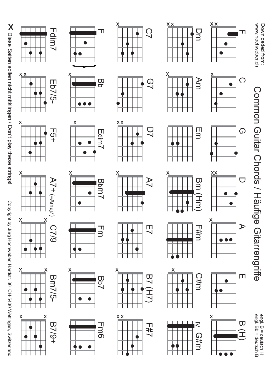Copyrightg Jürg Hochweber, Hardstr. $^{\omega}_{\infty}$  CH-5430 Wettingen,Diese Saiten sollen nicht mitklingen / Don't play these strings! Copyright play these strings! Were interval och-s430 Xettingen, Sollen internations Switzerland



x x

x





Fdim7

Eb7/5-

x

 $\mathbf{T}$ 

x



































C7

 $x \sim x$ 

 $\overline{\mathbb{T}}$ 

 $\overline{\mathtt{w}}$  $\overline{\mathbf{C}}$ 

m

dim 7

 $\varpi$ 

pm7



Dm

x x

Am











F

Common

Guitar Chords

/ Häufige

Gitarrengriffe

 $\bigcirc$ x



















engl. $\varpi$  $\blacksquare$  deutsch H engl.ե<br>Ծ  $\blacksquare$  deutsch $\varpi$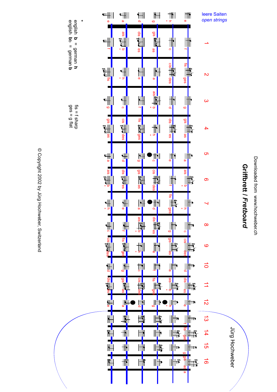

## Griffbrett / Fretboard **Griffbrett /** *Fretboard*



œ

œ

© Copyright 2002 by Jürg Hochweber, Switzerland © Copyright 2002 by Jürg Hochweber, Switzerland ges = g flat

fis = f sharp<br>ges = g flat

fis = f sharp english b = cornan b

**h**

**b**

english

**b**

b = german

 **b**

= german

**\***

Jürg Hochweber Jürg Hochweber

leere Saiten *open strings*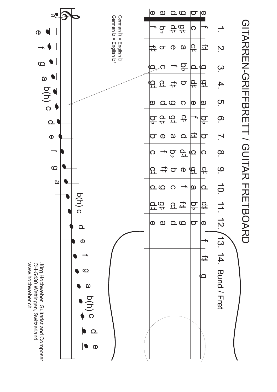